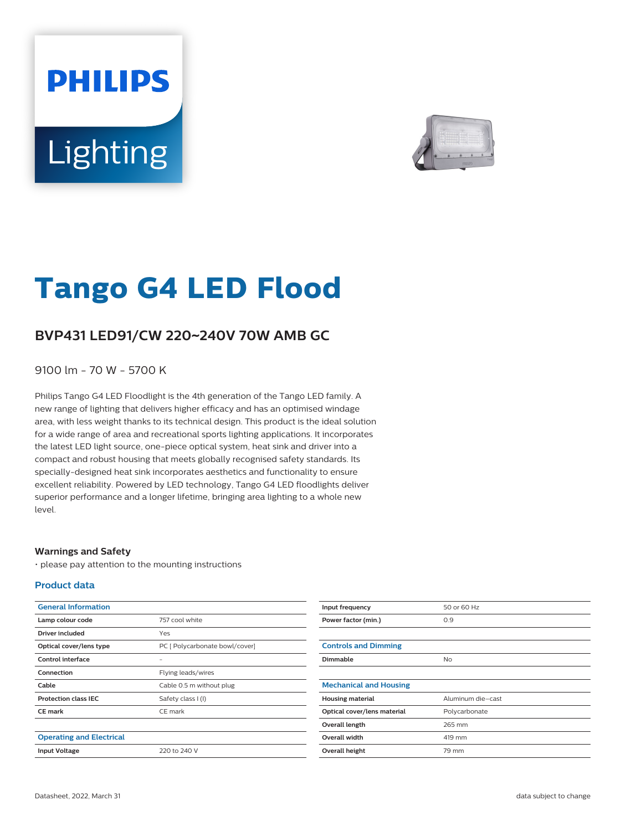# **PHILIPS** Lighting



# **Tango G4 LED Flood**

## **BVP431 LED91/CW 220**~**240V 70W AMB GC**

9100 lm - 70 W - 5700 K

Philips Tango G4 LED Floodlight is the 4th generation of the Tango LED family. A new range of lighting that delivers higher efficacy and has an optimised windage area, with less weight thanks to its technical design. This product is the ideal solution for a wide range of area and recreational sports lighting applications. It incorporates the latest LED light source, one-piece optical system, heat sink and driver into a compact and robust housing that meets globally recognised safety standards. Its specially-designed heat sink incorporates aesthetics and functionality to ensure excellent reliability. Powered by LED technology, Tango G4 LED floodlights deliver superior performance and a longer lifetime, bringing area lighting to a whole new level.

#### **Warnings and Safety**

• please pay attention to the mounting instructions

#### **Product data**

| <b>General Information</b>      |                                |
|---------------------------------|--------------------------------|
| Lamp colour code                | 757 cool white                 |
| Driver included                 | Yes                            |
| Optical cover/lens type         | PC [ Polycarbonate bowl/cover] |
| Control interface               |                                |
| Connection                      | Flying leads/wires             |
| Cable                           | Cable 0.5 m without plug       |
| <b>Protection class IEC</b>     | Safety class I (I)             |
| <b>CE</b> mark                  | CE mark                        |
|                                 |                                |
| <b>Operating and Electrical</b> |                                |
| <b>Input Voltage</b>            | 220 to 240 V                   |

| Input frequency               | 50 or 60 Hz       |
|-------------------------------|-------------------|
| Power factor (min.)           | 0.9               |
|                               |                   |
| <b>Controls and Dimming</b>   |                   |
| Dimmable                      | <b>No</b>         |
|                               |                   |
| <b>Mechanical and Housing</b> |                   |
| <b>Housing material</b>       | Aluminum die-cast |
| Optical cover/lens material   | Polycarbonate     |
| Overall length                | 265 mm            |
| <b>Overall width</b>          | 419 mm            |
| Overall height                | 79 mm             |
|                               |                   |